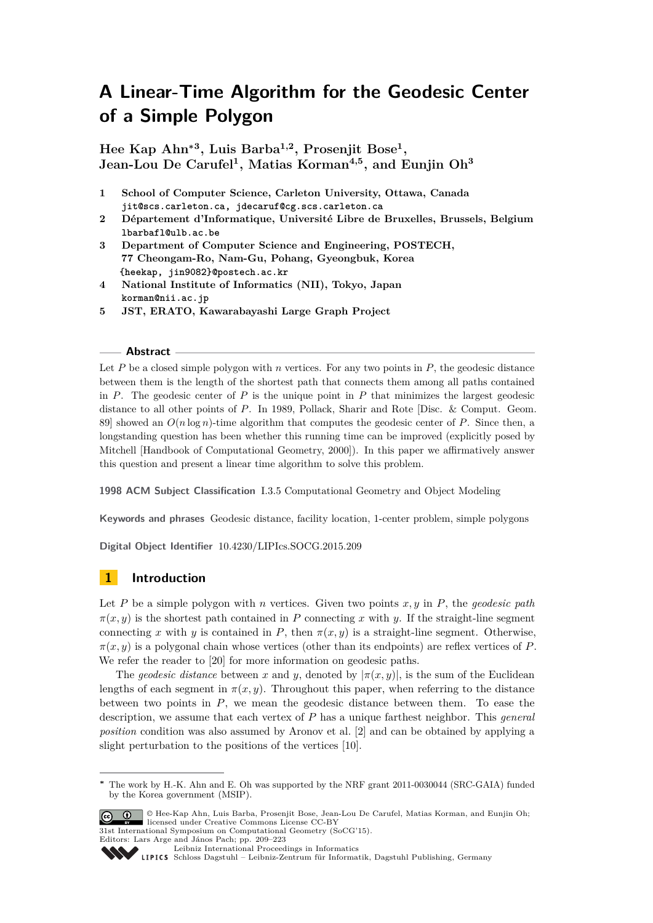**Hee Kap Ahn<sup>∗</sup><sup>3</sup> , Luis Barba1,2, Prosenjit Bose<sup>1</sup> , Jean-Lou De Carufel<sup>1</sup> , Matias Korman4,5, and Eunjin Oh<sup>3</sup>**

- **1 School of Computer Science, Carleton University, Ottawa, Canada jit@scs.carleton.ca, jdecaruf@cg.scs.carleton.ca**
- **2 Département d'Informatique, Université Libre de Bruxelles, Brussels, Belgium lbarbafl@ulb.ac.be**
- **3 Department of Computer Science and Engineering, POSTECH, 77 Cheongam-Ro, Nam-Gu, Pohang, Gyeongbuk, Korea {heekap, jin9082}@postech.ac.kr**
- **4 National Institute of Informatics (NII), Tokyo, Japan korman@nii.ac.jp**
- **5 JST, ERATO, Kawarabayashi Large Graph Project**

## **Abstract**

Let  $P$  be a closed simple polygon with  $n$  vertices. For any two points in  $P$ , the geodesic distance between them is the length of the shortest path that connects them among all paths contained in  $P$ . The geodesic center of  $P$  is the unique point in  $P$  that minimizes the largest geodesic distance to all other points of *P*. In 1989, Pollack, Sharir and Rote [Disc. & Comput. Geom. 89] showed an  $O(n \log n)$ -time algorithm that computes the geodesic center of *P*. Since then, a longstanding question has been whether this running time can be improved (explicitly posed by Mitchell [Handbook of Computational Geometry, 2000]). In this paper we affirmatively answer this question and present a linear time algorithm to solve this problem.

**1998 ACM Subject Classification** I.3.5 Computational Geometry and Object Modeling

**Keywords and phrases** Geodesic distance, facility location, 1-center problem, simple polygons

**Digital Object Identifier** [10.4230/LIPIcs.SOCG.2015.209](http://dx.doi.org/10.4230/LIPIcs.SOCG.2015.209)

# **1 Introduction**

Let *P* be a simple polygon with *n* vertices. Given two points *x, y* in *P*, the *geodesic path*  $\pi(x, y)$  is the shortest path contained in *P* connecting *x* with *y*. If the straight-line segment connecting *x* with *y* is contained in *P*, then  $\pi(x, y)$  is a straight-line segment. Otherwise,  $\pi(x, y)$  is a polygonal chain whose vertices (other than its endpoints) are reflex vertices of *P*. We refer the reader to [\[20\]](#page-14-0) for more information on geodesic paths.

The *geodesic distance* between *x* and *y*, denoted by  $|\pi(x, y)|$ , is the sum of the Euclidean lengths of each segment in  $\pi(x, y)$ . Throughout this paper, when referring to the distance between two points in *P*, we mean the geodesic distance between them. To ease the description, we assume that each vertex of *P* has a unique farthest neighbor. This *general position* condition was also assumed by Aronov et al. [\[2\]](#page-14-1) and can be obtained by applying a slight perturbation to the positions of the vertices [\[10\]](#page-14-2).

**<sup>∗</sup>** The work by H.-K. Ahn and E. Oh was supported by the NRF grant 2011-0030044 (SRC-GAIA) funded by the Korea government (MSIP).



© Hee-Kap Ahn, Luis Barba, Prosenjit Bose, Jean-Lou De Carufel, Matias Korman, and Eunjin Oh; licensed under Creative Commons License CC-BY 31st International Symposium on Computational Geometry (SoCG'15).

Editors: Lars Arge and János Pach; pp. 209[–223](#page-14-3)

[Leibniz International Proceedings in Informatics](http://www.dagstuhl.de/lipics/) Leibniz international Floretungs in missimosische Publishing, Germany<br>LIPICS [Schloss Dagstuhl – Leibniz-Zentrum für Informatik, Dagstuhl Publishing, Germany](http://www.dagstuhl.de)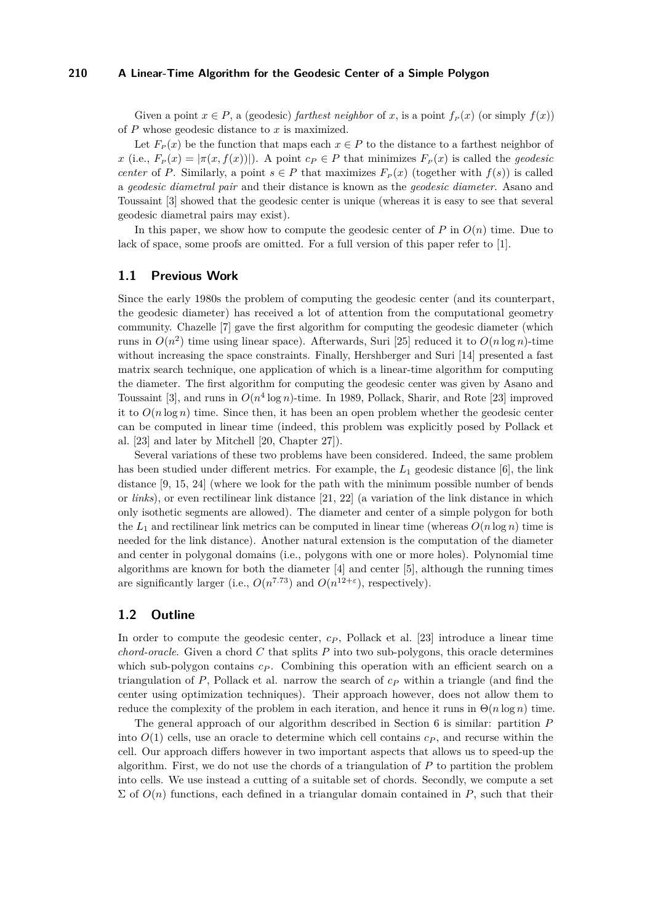Given a point  $x \in P$ , a (geodesic) *farthest neighbor* of *x*, is a point  $f_P(x)$  (or simply  $f(x)$ ) of *P* whose geodesic distance to *x* is maximized.

Let  $F_P(x)$  be the function that maps each  $x \in P$  to the distance to a farthest neighbor of  $x$  (i.e.,  $F_P(x) = |\pi(x, f(x))|$ ). A point  $c_P \in P$  that minimizes  $F_P(x)$  is called the *geodesic center* of *P*. Similarly, a point  $s \in P$  that maximizes  $F_P(x)$  (together with  $f(s)$ ) is called a *geodesic diametral pair* and their distance is known as the *geodesic diameter*. Asano and Toussaint [\[3\]](#page-14-4) showed that the geodesic center is unique (whereas it is easy to see that several geodesic diametral pairs may exist).

In this paper, we show how to compute the geodesic center of  $P$  in  $O(n)$  time. Due to lack of space, some proofs are omitted. For a full version of this paper refer to [\[1\]](#page-13-0).

# **1.1 Previous Work**

Since the early 1980s the problem of computing the geodesic center (and its counterpart, the geodesic diameter) has received a lot of attention from the computational geometry community. Chazelle [\[7\]](#page-14-5) gave the first algorithm for computing the geodesic diameter (which runs in  $O(n^2)$  time using linear space). Afterwards, Suri [\[25\]](#page-14-6) reduced it to  $O(n \log n)$ -time without increasing the space constraints. Finally, Hershberger and Suri [\[14\]](#page-14-7) presented a fast matrix search technique, one application of which is a linear-time algorithm for computing the diameter. The first algorithm for computing the geodesic center was given by Asano and Toussaint [\[3\]](#page-14-4), and runs in  $O(n^4 \log n)$ -time. In 1989, Pollack, Sharir, and Rote [\[23\]](#page-14-8) improved it to  $O(n \log n)$  time. Since then, it has been an open problem whether the geodesic center can be computed in linear time (indeed, this problem was explicitly posed by Pollack et al. [\[23\]](#page-14-8) and later by Mitchell [\[20,](#page-14-0) Chapter 27]).

Several variations of these two problems have been considered. Indeed, the same problem has been studied under different metrics. For example, the  $L_1$  geodesic distance [\[6\]](#page-14-9), the link distance [\[9,](#page-14-10) [15,](#page-14-11) [24\]](#page-14-12) (where we look for the path with the minimum possible number of bends or *links*), or even rectilinear link distance [\[21,](#page-14-13) [22\]](#page-14-14) (a variation of the link distance in which only isothetic segments are allowed). The diameter and center of a simple polygon for both the  $L_1$  and rectilinear link metrics can be computed in linear time (whereas  $O(n \log n)$ ) time is needed for the link distance). Another natural extension is the computation of the diameter and center in polygonal domains (i.e., polygons with one or more holes). Polynomial time algorithms are known for both the diameter [\[4\]](#page-14-15) and center [\[5\]](#page-14-16), although the running times are significantly larger (i.e.,  $O(n^{7.73})$  and  $O(n^{12+\epsilon})$ , respectively).

# **1.2 Outline**

In order to compute the geodesic center,  $c_p$ , Pollack et al. [\[23\]](#page-14-8) introduce a linear time *chord-oracle*. Given a chord *C* that splits *P* into two sub-polygons, this oracle determines which sub-polygon contains  $c_P$ . Combining this operation with an efficient search on a triangulation of *P*, Pollack et al. narrow the search of *c<sup>P</sup>* within a triangle (and find the center using optimization techniques). Their approach however, does not allow them to reduce the complexity of the problem in each iteration, and hence it runs in  $\Theta(n \log n)$  time.

The general approach of our algorithm described in Section [6](#page-9-0) is similar: partition *P* into  $O(1)$  cells, use an oracle to determine which cell contains  $c_P$ , and recurse within the cell. Our approach differs however in two important aspects that allows us to speed-up the algorithm. First, we do not use the chords of a triangulation of *P* to partition the problem into cells. We use instead a cutting of a suitable set of chords. Secondly, we compute a set  $\Sigma$  of  $O(n)$  functions, each defined in a triangular domain contained in *P*, such that their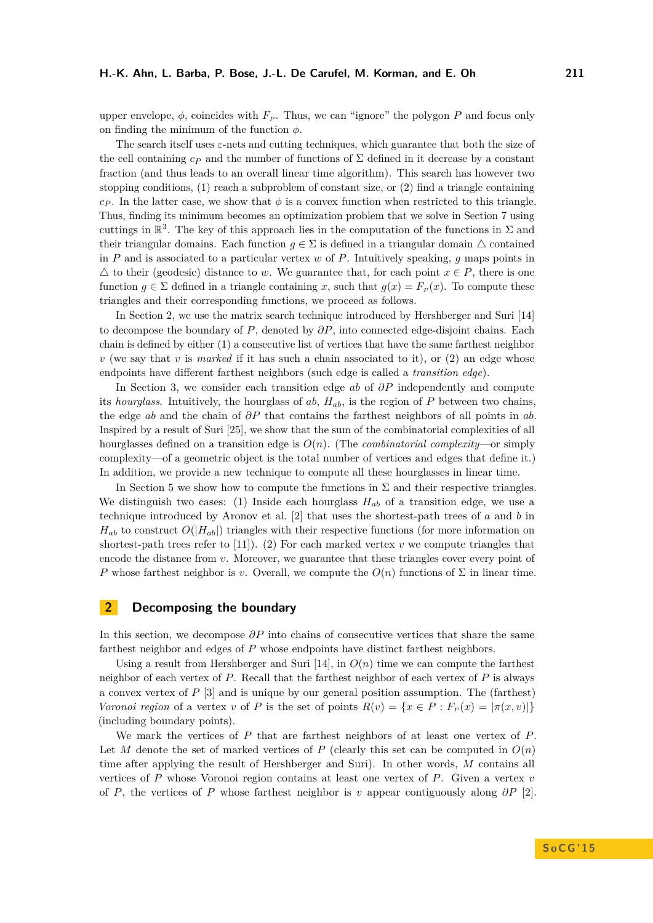upper envelope,  $\phi$ , coincides with  $F_P$ . Thus, we can "ignore" the polygon P and focus only on finding the minimum of the function *φ*.

The search itself uses *ε*-nets and cutting techniques, which guarantee that both the size of the cell containing  $c_P$  and the number of functions of  $\Sigma$  defined in it decrease by a constant fraction (and thus leads to an overall linear time algorithm). This search has however two stopping conditions, (1) reach a subproblem of constant size, or (2) find a triangle containing  $c$ *P*. In the latter case, we show that  $\phi$  is a convex function when restricted to this triangle. Thus, finding its minimum becomes an optimization problem that we solve in Section [7](#page-11-0) using cuttings in  $\mathbb{R}^3$ . The key of this approach lies in the computation of the functions in  $\Sigma$  and their triangular domains. Each function  $g \in \Sigma$  is defined in a triangular domain  $\Delta$  contained in *P* and is associated to a particular vertex *w* of *P*. Intuitively speaking, *g* maps points in  $\triangle$  to their (geodesic) distance to *w*. We guarantee that, for each point  $x \in P$ , there is one function  $g \in \Sigma$  defined in a triangle containing *x*, such that  $g(x) = F_p(x)$ . To compute these triangles and their corresponding functions, we proceed as follows.

In Section [2,](#page-2-0) we use the matrix search technique introduced by Hershberger and Suri [\[14\]](#page-14-7) to decompose the boundary of *P*, denoted by *∂P*, into connected edge-disjoint chains. Each chain is defined by either (1) a consecutive list of vertices that have the same farthest neighbor  $v$  (we say that  $v$  is *marked* if it has such a chain associated to it), or (2) an edge whose endpoints have different farthest neighbors (such edge is called a *transition edge*).

In Section [3,](#page-3-0) we consider each transition edge *ab* of *∂P* independently and compute its *hourglass*. Intuitively, the hourglass of *ab*, *Hab*, is the region of *P* between two chains, the edge *ab* and the chain of *∂P* that contains the farthest neighbors of all points in *ab*. Inspired by a result of Suri [\[25\]](#page-14-6), we show that the sum of the combinatorial complexities of all hourglasses defined on a transition edge is *O*(*n*). (The *combinatorial complexity*—or simply complexity—of a geometric object is the total number of vertices and edges that define it.) In addition, we provide a new technique to compute all these hourglasses in linear time.

In Section [5](#page-6-0) we show how to compute the functions in  $\Sigma$  and their respective triangles. We distinguish two cases: (1) Inside each hourglass  $H_{ab}$  of a transition edge, we use a technique introduced by Aronov et al. [\[2\]](#page-14-1) that uses the shortest-path trees of *a* and *b* in  $H_{ab}$  to construct  $O(|H_{ab}|)$  triangles with their respective functions (for more information on shortest-path trees refer to  $[11]$ ). (2) For each marked vertex  $v$  we compute triangles that encode the distance from *v*. Moreover, we guarantee that these triangles cover every point of *P* whose farthest neighbor is *v*. Overall, we compute the  $O(n)$  functions of  $\Sigma$  in linear time.

# <span id="page-2-0"></span>**2 Decomposing the boundary**

In this section, we decompose *∂P* into chains of consecutive vertices that share the same farthest neighbor and edges of *P* whose endpoints have distinct farthest neighbors.

Using a result from Hershberger and Suri  $[14]$ , in  $O(n)$  time we can compute the farthest neighbor of each vertex of *P*. Recall that the farthest neighbor of each vertex of *P* is always a convex vertex of *P* [\[3\]](#page-14-4) and is unique by our general position assumption. The (farthest) *Voronoi region* of a vertex *v* of *P* is the set of points  $R(v) = \{x \in P : F_P(x) = |\pi(x, v)|\}$ (including boundary points).

We mark the vertices of *P* that are farthest neighbors of at least one vertex of *P*. Let *M* denote the set of marked vertices of *P* (clearly this set can be computed in  $O(n)$ ) time after applying the result of Hershberger and Suri). In other words, *M* contains all vertices of *P* whose Voronoi region contains at least one vertex of *P*. Given a vertex *v* of *P*, the vertices of *P* whose farthest neighbor is *v* appear contiguously along *∂P* [\[2\]](#page-14-1).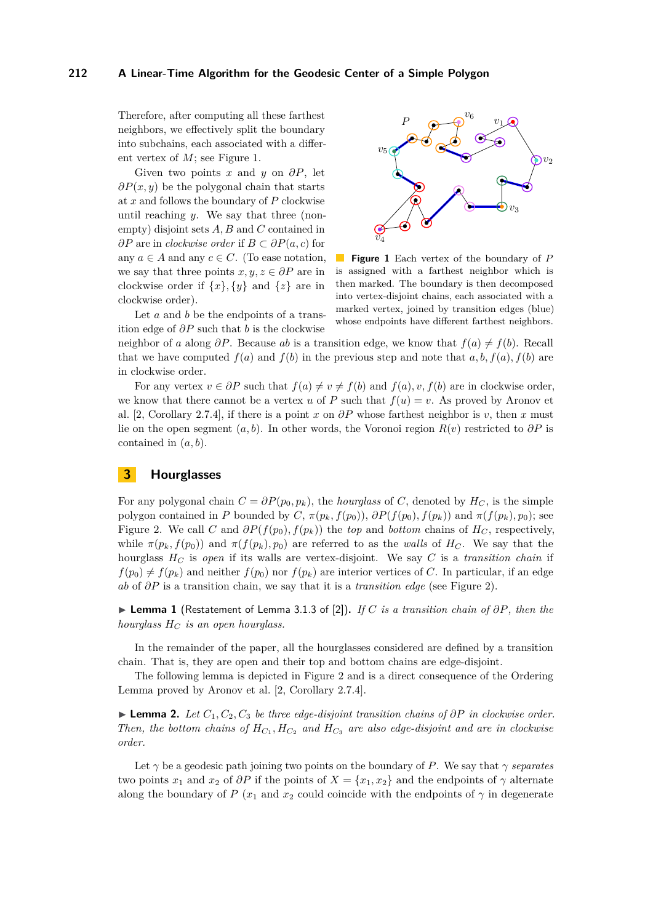Therefore, after computing all these farthest neighbors, we effectively split the boundary into subchains, each associated with a different vertex of *M*; see Figure [1.](#page-3-1)

Given two points *x* and *y* on *∂P*, let *∂P*(*x, y*) be the polygonal chain that starts at *x* and follows the boundary of *P* clockwise until reaching *y*. We say that three (nonempty) disjoint sets *A, B* and *C* contained in *∂P* are in *clockwise order* if *B* ⊂ *∂P*(*a, c*) for any  $a \in A$  and any  $c \in C$ . (To ease notation, we say that three points  $x, y, z \in \partial P$  are in clockwise order if  $\{x\}$ ,  $\{y\}$  and  $\{z\}$  are in clockwise order).

<span id="page-3-1"></span>

**Figure 1** Each vertex of the boundary of *P*  $\mathcal{O}(\mathbb{R}^d)$ is assigned with a farthest neighbor which is then marked. The boundary is then decomposed into vertex-disjoint chains, each associated with a marked vertex, joined by transition edges (blue) whose endpoints have different farthest neighbors.

Let *a* and *b* be the endpoints of a transition edge of *∂P* such that *b* is the clockwise

neighbor of *a* along  $\partial P$ . Because *ab* is a transition edge, we know that  $f(a) \neq f(b)$ . Recall that we have computed  $f(a)$  and  $f(b)$  in the previous step and note that  $a, b, f(a), f(b)$  are in clockwise order.

For any vertex  $v \in \partial P$  such that  $f(a) \neq v \neq f(b)$  and  $f(a), v, f(b)$  are in clockwise order, we know that there cannot be a vertex *u* of *P* such that  $f(u) = v$ . As proved by Aronov et al. [\[2,](#page-14-1) Corollary 2.7.4], if there is a point *x* on *∂P* whose farthest neighbor is *v*, then *x* must lie on the open segment  $(a, b)$ . In other words, the Voronoi region  $R(v)$  restricted to  $\partial P$  is contained in (*a, b*).

# <span id="page-3-0"></span>**3 Hourglasses**

For any polygonal chain  $C = \partial P(p_0, p_k)$ , the *hourglass* of *C*, denoted by  $H_C$ , is the simple polygon contained in *P* bounded by *C*,  $\pi(p_k, f(p_0))$ ,  $\partial P(f(p_0), f(p_k))$  and  $\pi(f(p_k), p_0)$ ; see Figure [2.](#page-4-0) We call *C* and  $\partial P(f(p_0), f(p_k))$  the *top* and *bottom* chains of  $H_C$ , respectively, while  $\pi(p_k, f(p_0))$  and  $\pi(f(p_k), p_0)$  are referred to as the *walls* of  $H_C$ . We say that the hourglass  $H_C$  is *open* if its walls are vertex-disjoint. We say C is a *transition chain* if  $f(p_0) \neq f(p_k)$  and neither  $f(p_0)$  nor  $f(p_k)$  are interior vertices of *C*. In particular, if an edge *ab* of *∂P* is a transition chain, we say that it is a *transition edge* (see Figure [2\)](#page-4-0).

I **Lemma 1** (Restatement of Lemma 3.1.3 of [\[2\]](#page-14-1))**.** *If C is a transition chain of ∂P, then the hourglass H<sup>C</sup> is an open hourglass.*

In the remainder of the paper, all the hourglasses considered are defined by a transition chain. That is, they are open and their top and bottom chains are edge-disjoint.

The following lemma is depicted in Figure [2](#page-4-0) and is a direct consequence of the Ordering Lemma proved by Aronov et al. [\[2,](#page-14-1) Corollary 2.7.4].

<span id="page-3-2"></span>I **Lemma 2.** *Let C*1*, C*2*, C*<sup>3</sup> *be three edge-disjoint transition chains of ∂P in clockwise order. Then, the bottom chains of*  $H_{C_1}$ ,  $H_{C_2}$  *and*  $H_{C_3}$  *are also edge-disjoint and are in clockwise order.*

Let  $\gamma$  be a geodesic path joining two points on the boundary of *P*. We say that  $\gamma$  *separates* two points  $x_1$  and  $x_2$  of  $\partial P$  if the points of  $X = \{x_1, x_2\}$  and the endpoints of  $\gamma$  alternate along the boundary of *P* ( $x_1$  and  $x_2$  could coincide with the endpoints of  $\gamma$  in degenerate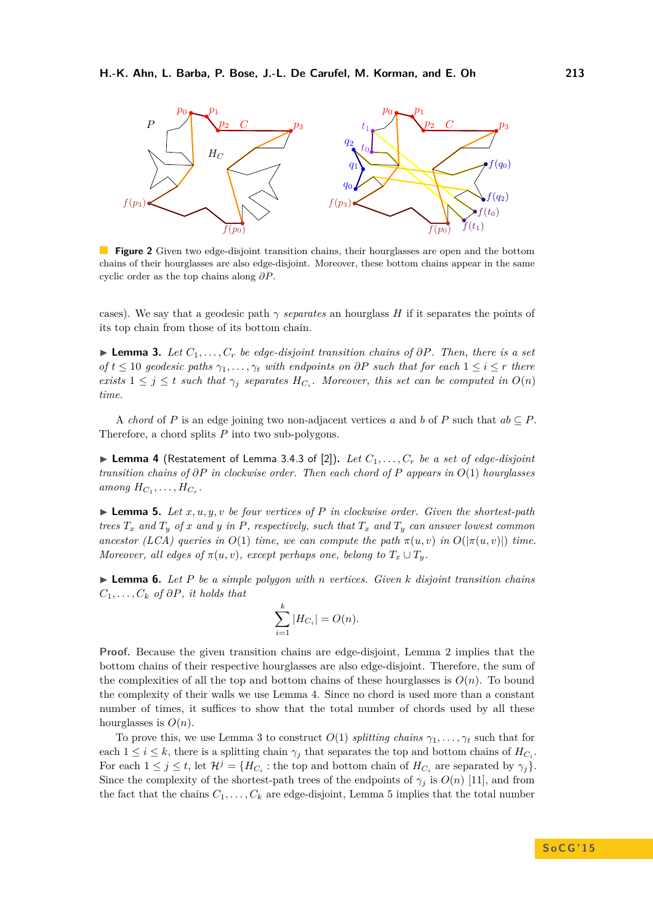<span id="page-4-0"></span>

**Figure 2** Given two edge-disjoint transition chains, their hourglasses are open and the bottom chains of their hourglasses are also edge-disjoint. Moreover, these bottom chains appear in the same cyclic order as the top chains along *∂P*.

cases). We say that a geodesic path  $\gamma$  *separates* an hourglass *H* if it separates the points of its top chain from those of its bottom chain.

<span id="page-4-2"></span>**► Lemma 3.** *Let*  $C_1, \ldots, C_r$  *be edge-disjoint transition chains of*  $\partial P$ *. Then, there is a set*  $of$  *t* ≤ 10 *geodesic paths*  $\gamma_1, \ldots, \gamma_t$  *with endpoints on*  $\partial P$  *such that for each* 1 ≤ *i* ≤ *r there exists*  $1 \leq j \leq t$  *such that*  $\gamma_j$  *separates*  $H_{C_i}$ *. Moreover, this set can be computed in*  $O(n)$ *time.*

A *chord* of *P* is an edge joining two non-adjacent vertices *a* and *b* of *P* such that  $ab \subseteq P$ . Therefore, a chord splits *P* into two sub-polygons.

<span id="page-4-1"></span> $\blacktriangleright$  **Lemma 4** (Restatement of Lemma 3.4.3 of [\[2\]](#page-14-1)). Let  $C_1, \ldots, C_r$  be a set of edge-disjoint *transition chains of ∂P in clockwise order. Then each chord of P appears in O*(1) *hourglasses*  $\sum_{i=1}^{n}$  *H* $\sum_{i=1}^{n}$  *...*  $\sum_{i=1}^{n}$  *H* $\sum_{i=1}^{n}$  *... H* $\sum_{i=1}^{n}$  *... H* $\sum_{i=1}^{n}$  *... H* $\sum_{i=1}^{n}$  *... H* $\sum_{i=1}^{n}$  *... H* $\sum_{i=1}^{n}$  *... H* $\sum_{i=1}^{n}$  *... H* $\sum_{i=1}^{n}$  *..* 

<span id="page-4-3"></span> $\blacktriangleright$  **Lemma 5.** Let  $x, u, y, v$  be four vertices of P in clockwise order. Given the shortest-path *trees*  $T_x$  *and*  $T_y$  *of x and y in P, respectively, such that*  $T_x$  *and*  $T_y$  *can answer lowest common ancestor (LCA) queries in*  $O(1)$  *time, we can compute the path*  $\pi(u, v)$  *in*  $O(|\pi(u, v)|)$  *time. Moreover, all edges of*  $\pi(u, v)$ *, except perhaps one, belong to*  $T_x \cup T_y$ *.* 

<span id="page-4-4"></span> $\blacktriangleright$  **Lemma 6.** Let P be a simple polygon with *n* vertices. Given k disjoint transition chains  $C_1, \ldots, C_k$  *of*  $\partial P$ *, it holds that* 

$$
\sum_{i=1}^k |H_{C_i}| = O(n).
$$

**Proof.** Because the given transition chains are edge-disjoint, Lemma [2](#page-3-2) implies that the bottom chains of their respective hourglasses are also edge-disjoint. Therefore, the sum of the complexities of all the top and bottom chains of these hourglasses is  $O(n)$ . To bound the complexity of their walls we use Lemma [4.](#page-4-1) Since no chord is used more than a constant number of times, it suffices to show that the total number of chords used by all these hourglasses is  $O(n)$ .

To prove this, we use Lemma [3](#page-4-2) to construct  $O(1)$  *splitting chains*  $\gamma_1, \ldots, \gamma_t$  such that for each  $1 \leq i \leq k$ , there is a splitting chain  $\gamma_j$  that separates the top and bottom chains of  $H_{C_i}$ . For each  $1 \leq j \leq t$ , let  $\mathcal{H}^j = \{H_{C_i} : \text{the top and bottom chain of } H_{C_i} \text{ are separated by } \gamma_j\}.$ Since the complexity of the shortest-path trees of the endpoints of  $\gamma_j$  is  $O(n)$  [\[11\]](#page-14-17), and from the fact that the chains  $C_1, \ldots, C_k$  are edge-disjoint, Lemma [5](#page-4-3) implies that the total number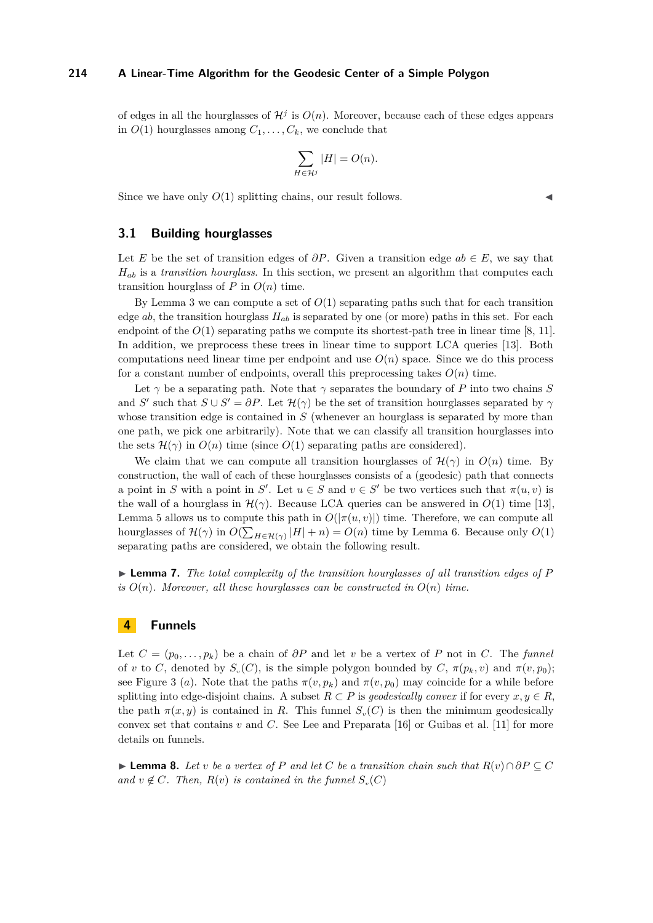of edges in all the hourglasses of  $\mathcal{H}^j$  is  $O(n)$ . Moreover, because each of these edges appears in  $O(1)$  hourglasses among  $C_1, \ldots, C_k$ , we conclude that

$$
\sum_{H \in \mathcal{H}^j} |H| = O(n).
$$

Since we have only  $O(1)$  splitting chains, our result follows.

# **3.1 Building hourglasses**

Let *E* be the set of transition edges of  $\partial P$ . Given a transition edge  $ab \in E$ , we say that *Hab* is a *transition hourglass*. In this section, we present an algorithm that computes each transition hourglass of *P* in  $O(n)$  time.

By Lemma [3](#page-4-2) we can compute a set of  $O(1)$  separating paths such that for each transition edge  $ab$ , the transition hourglass  $H_{ab}$  is separated by one (or more) paths in this set. For each endpoint of the  $O(1)$  separating paths we compute its shortest-path tree in linear time [\[8,](#page-14-18) [11\]](#page-14-17). In addition, we preprocess these trees in linear time to support LCA queries [\[13\]](#page-14-19). Both computations need linear time per endpoint and use  $O(n)$  space. Since we do this process for a constant number of endpoints, overall this preprocessing takes  $O(n)$  time.

Let  $\gamma$  be a separating path. Note that  $\gamma$  separates the boundary of *P* into two chains *S* and *S*<sup>'</sup> such that  $S \cup S' = \partial P$ . Let  $\mathcal{H}(\gamma)$  be the set of transition hourglasses separated by  $\gamma$ whose transition edge is contained in *S* (whenever an hourglass is separated by more than one path, we pick one arbitrarily). Note that we can classify all transition hourglasses into the sets  $\mathcal{H}(\gamma)$  in  $O(n)$  time (since  $O(1)$  separating paths are considered).

We claim that we can compute all transition hourglasses of  $\mathcal{H}(\gamma)$  in  $O(n)$  time. By construction, the wall of each of these hourglasses consists of a (geodesic) path that connects a point in *S* with a point in *S'*. Let  $u \in S$  and  $v \in S'$  be two vertices such that  $\pi(u, v)$  is the wall of a hourglass in  $\mathcal{H}(\gamma)$ . Because LCA queries can be answered in  $O(1)$  time [\[13\]](#page-14-19), Lemma [5](#page-4-3) allows us to compute this path in  $O(|\pi(u, v)|)$  time. Therefore, we can compute all hourglasses of  $\mathcal{H}(\gamma)$  in  $O(\sum_{H \in \mathcal{H}(\gamma)} |H| + n) = O(n)$  time by Lemma [6.](#page-4-4) Because only  $O(1)$ separating paths are considered, we obtain the following result.

<span id="page-5-0"></span>► **Lemma 7.** *The total complexity of the transition hourglasses of all transition edges of* P *is*  $O(n)$ *. Moreover, all these hourglasses can be constructed in*  $O(n)$  *time.* 

# **4 Funnels**

Let  $C = (p_0, \ldots, p_k)$  be a chain of  $\partial P$  and let *v* be a vertex of P not in C. The *funnel* of *v* to *C*, denoted by  $S_v(C)$ , is the simple polygon bounded by  $C$ ,  $\pi(p_k, v)$  and  $\pi(v, p_0)$ ; see Figure [3](#page-6-1) (*a*). Note that the paths  $\pi(v, p_k)$  and  $\pi(v, p_0)$  may coincide for a while before splitting into edge-disjoint chains. A subset  $R \subset P$  is *geodesically convex* if for every  $x, y \in R$ , the path  $\pi(x, y)$  is contained in *R*. This funnel  $S<sub>v</sub>(C)$  is then the minimum geodesically convex set that contains *v* and *C*. See Lee and Preparata [\[16\]](#page-14-20) or Guibas et al. [\[11\]](#page-14-17) for more details on funnels.

<span id="page-5-1"></span>**► Lemma 8.** Let *v* be a vertex of P and let C be a transition chain such that  $R(v) \cap \partial P \subseteq C$ *and*  $v \notin C$ *. Then,*  $R(v)$  *is contained in the funnel*  $S_v(C)$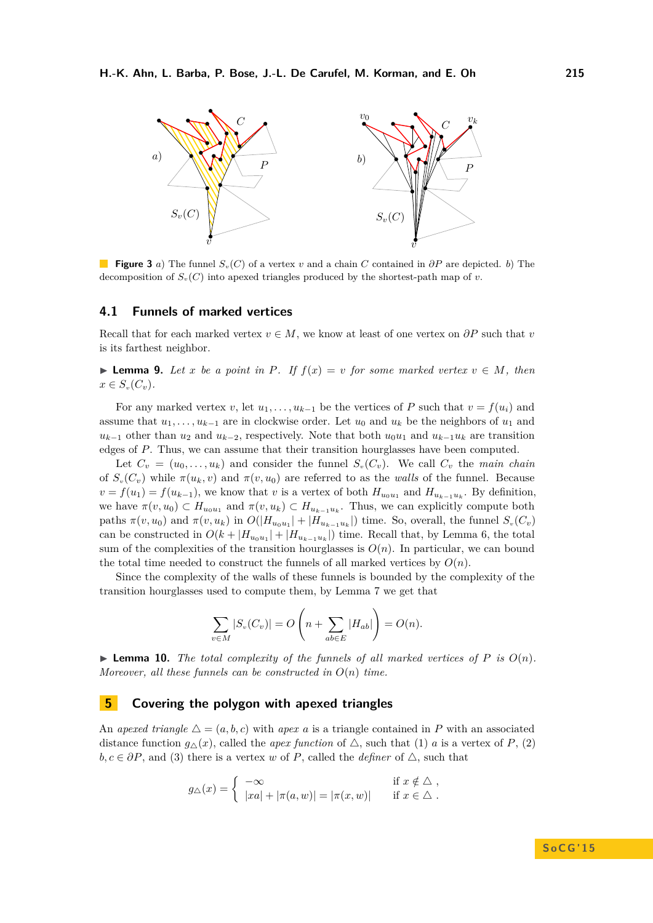<span id="page-6-1"></span>

**Figure 3** *a*) The funnel *Sv*(*C*) of a vertex *v* and a chain *C* contained in *∂P* are depicted. *b*) The decomposition of  $S_v(C)$  into apexed triangles produced by the shortest-path map of *v*.

# **4.1 Funnels of marked vertices**

Recall that for each marked vertex  $v \in M$ , we know at least of one vertex on  $\partial P$  such that *v* is its farthest neighbor.

<span id="page-6-2"></span>▶ **Lemma 9.** Let *x* be a point in *P*. If  $f(x) = v$  for some marked vertex  $v \in M$ , then  $x \in S_v(C_v)$ .

For any marked vertex *v*, let  $u_1, \ldots, u_{k-1}$  be the vertices of *P* such that  $v = f(u_i)$  and assume that  $u_1, \ldots, u_{k-1}$  are in clockwise order. Let  $u_0$  and  $u_k$  be the neighbors of  $u_1$  and  $u_{k-1}$  other than  $u_2$  and  $u_{k-2}$ , respectively. Note that both  $u_0u_1$  and  $u_{k-1}u_k$  are transition edges of *P*. Thus, we can assume that their transition hourglasses have been computed.

Let  $C_v = (u_0, \ldots, u_k)$  and consider the funnel  $S_v(C_v)$ . We call  $C_v$  the main chain of  $S_v(C_v)$  while  $\pi(u_k, v)$  and  $\pi(v, u_0)$  are referred to as the *walls* of the funnel. Because  $v = f(u_1) = f(u_{k-1})$ , we know that *v* is a vertex of both  $H_{u_0u_1}$  and  $H_{u_{k-1}u_k}$ . By definition, we have  $\pi(v, u_0) \subset H_{u_0u_1}$  and  $\pi(v, u_k) \subset H_{u_{k-1}u_k}$ . Thus, we can explicitly compute both paths  $\pi(v, u_0)$  and  $\pi(v, u_k)$  in  $O(|H_{u_0 u_1}| + |H_{u_{k-1} u_k}|)$  time. So, overall, the funnel  $S_v(C_v)$ can be constructed in  $O(k + |H_{u_0u_1}| + |H_{u_{k-1}u_k}|)$  time. Recall that, by Lemma [6,](#page-4-4) the total sum of the complexities of the transition hourglasses is  $O(n)$ . In particular, we can bound the total time needed to construct the funnels of all marked vertices by  $O(n)$ .

Since the complexity of the walls of these funnels is bounded by the complexity of the transition hourglasses used to compute them, by Lemma [7](#page-5-0) we get that

$$
\sum_{v \in M} |S_v(C_v)| = O\left(n + \sum_{ab \in E} |H_{ab}|\right) = O(n).
$$

<span id="page-6-3"></span> $\triangleright$  **Lemma 10.** *The total complexity of the funnels of all marked vertices of P is*  $O(n)$ *. Moreover, all these funnels can be constructed in O*(*n*) *time.*

# <span id="page-6-0"></span>**5 Covering the polygon with apexed triangles**

An *apexed triangle*  $\Delta = (a, b, c)$  with *apex a* is a triangle contained in *P* with an associated distance function  $g_{\Delta}(x)$ , called the *apex function* of  $\Delta$ , such that (1) *a* is a vertex of *P*, (2)  $b, c \in \partial P$ , and (3) there is a vertex *w* of *P*, called the *definer* of  $\triangle$ , such that

$$
g_{\triangle}(x) = \begin{cases} -\infty & \text{if } x \notin \triangle ,\\ |xa| + |\pi(a, w)| = |\pi(x, w)| & \text{if } x \in \triangle . \end{cases}
$$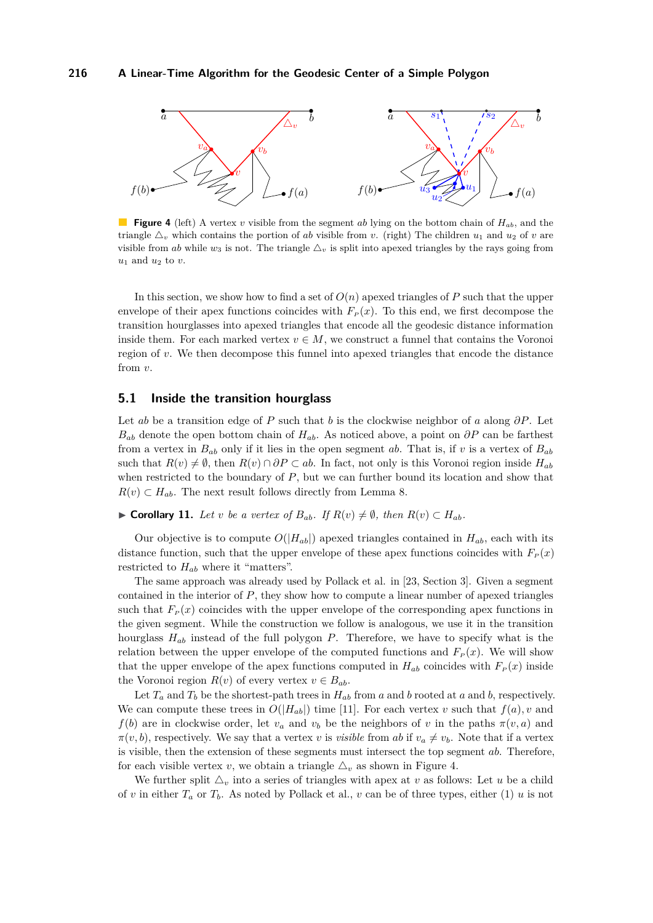<span id="page-7-0"></span>

**Figure 4** (left) A vertex *v* visible from the segment *ab* lying on the bottom chain of *Hab*, and the triangle  $\Delta_v$  which contains the portion of *ab* visible from *v*. (right) The children *u*<sub>1</sub> and *u*<sub>2</sub> of *v* are visible from *ab* while  $w_3$  is not. The triangle  $\Delta_v$  is split into apexed triangles by the rays going from *u*<sup>1</sup> and *u*<sup>2</sup> to *v*.

In this section, we show how to find a set of  $O(n)$  apexed triangles of P such that the upper envelope of their apex functions coincides with  $F<sub>P</sub>(x)$ . To this end, we first decompose the transition hourglasses into apexed triangles that encode all the geodesic distance information inside them. For each marked vertex  $v \in M$ , we construct a funnel that contains the Voronoi region of *v*. We then decompose this funnel into apexed triangles that encode the distance from *v*.

## **5.1 Inside the transition hourglass**

Let *ab* be a transition edge of *P* such that *b* is the clockwise neighbor of *a* along *∂P*. Let  $B_{ab}$  denote the open bottom chain of  $H_{ab}$ . As noticed above, a point on  $\partial P$  can be farthest from a vertex in  $B_{ab}$  only if it lies in the open segment *ab*. That is, if *v* is a vertex of  $B_{ab}$ such that  $R(v) \neq \emptyset$ , then  $R(v) \cap \partial P \subset ab$ . In fact, not only is this Voronoi region inside  $H_{ab}$ when restricted to the boundary of *P*, but we can further bound its location and show that  $R(v) \subset H_{ab}$ . The next result follows directly from Lemma [8.](#page-5-1)

▶ **Corollary 11.** *Let v be a vertex of*  $B_{ab}$ *. If*  $R(v) \neq \emptyset$ *, then*  $R(v) \subset H_{ab}$ *.* 

Our objective is to compute  $O(|H_{ab}|)$  apexed triangles contained in  $H_{ab}$ , each with its distance function, such that the upper envelope of these apex functions coincides with  $F<sub>P</sub>(x)$ restricted to *Hab* where it "matters".

The same approach was already used by Pollack et al. in [\[23,](#page-14-8) Section 3]. Given a segment contained in the interior of *P*, they show how to compute a linear number of apexed triangles such that  $F<sub>P</sub>(x)$  coincides with the upper envelope of the corresponding apex functions in the given segment. While the construction we follow is analogous, we use it in the transition hourglass *Hab* instead of the full polygon *P*. Therefore, we have to specify what is the relation between the upper envelope of the computed functions and  $F<sub>P</sub>(x)$ . We will show that the upper envelope of the apex functions computed in  $H_{ab}$  coincides with  $F_p(x)$  inside the Voronoi region  $R(v)$  of every vertex  $v \in B_{ab}$ .

Let  $T_a$  and  $T_b$  be the shortest-path trees in  $H_{ab}$  from *a* and *b* rooted at *a* and *b*, respectively. We can compute these trees in  $O(|H_{ab}|)$  time [\[11\]](#page-14-17). For each vertex *v* such that  $f(a)$ , *v* and *f*(*b*) are in clockwise order, let  $v_a$  and  $v_b$  be the neighbors of *v* in the paths  $\pi(v, a)$  and  $\pi(v, b)$ , respectively. We say that a vertex *v* is *visible* from *ab* if  $v_a \neq v_b$ . Note that if a vertex is visible, then the extension of these segments must intersect the top segment *ab*. Therefore, for each visible vertex *v*, we obtain a triangle  $\Delta_v$  as shown in Figure [4.](#page-7-0)

We further split  $\Delta_v$  into a series of triangles with apex at v as follows: Let u be a child of *v* in either  $T_a$  or  $T_b$ . As noted by Pollack et al., *v* can be of three types, either (1) *u* is not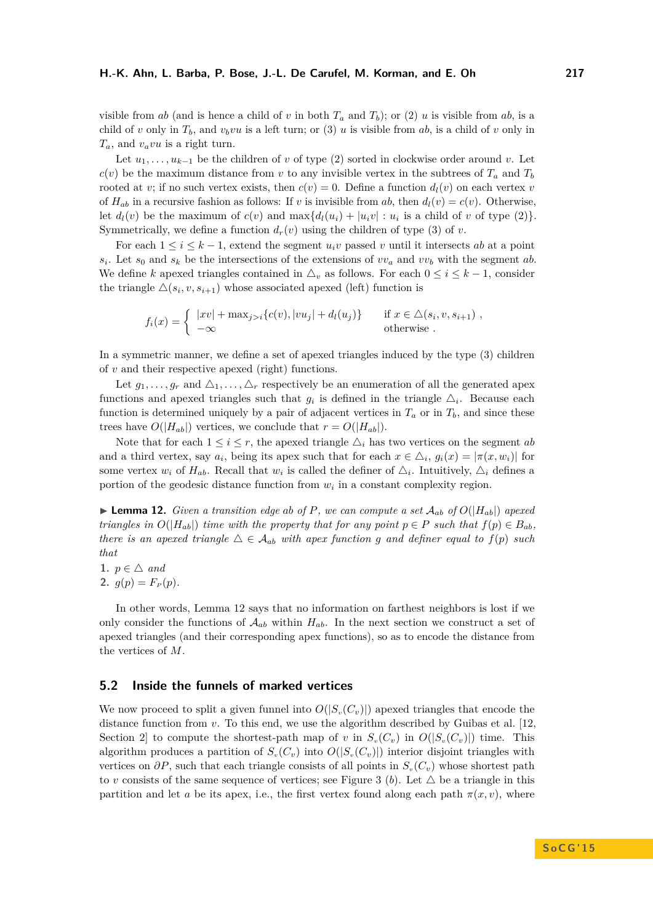visible from *ab* (and is hence a child of *v* in both  $T_a$  and  $T_b$ ); or (2) *u* is visible from *ab*, is a child of *v* only in  $T_b$ , and  $v_b v u$  is a left turn; or (3) *u* is visible from *ab*, is a child of *v* only in *Ta*, and *vavu* is a right turn.

Let  $u_1, \ldots, u_{k-1}$  be the children of *v* of type (2) sorted in clockwise order around *v*. Let  $c(v)$  be the maximum distance from *v* to any invisible vertex in the subtrees of  $T_a$  and  $T_b$ rooted at *v*; if no such vertex exists, then  $c(v) = 0$ . Define a function  $d_l(v)$  on each vertex *v* of  $H_{ab}$  in a recursive fashion as follows: If *v* is invisible from *ab*, then  $d_l(v) = c(v)$ . Otherwise, let  $d_l(v)$  be the maximum of  $c(v)$  and  $\max\{d_l(u_i) + |u_i v| : u_i$  is a child of *v* of type  $(2)$ . Symmetrically, we define a function  $d_r(v)$  using the children of type (3) of *v*.

For each  $1 \leq i \leq k-1$ , extend the segment  $u_i v$  passed *v* until it intersects *ab* at a point  $s_i$ . Let  $s_0$  and  $s_k$  be the intersections of the extensions of  $vv_a$  and  $vv_b$  with the segment *ab*. We define *k* apexed triangles contained in  $\Delta_v$  as follows. For each  $0 \le i \le k - 1$ , consider the triangle  $\Delta(s_i, v, s_{i+1})$  whose associated apexed (left) function is

$$
f_i(x) = \begin{cases} |xv| + \max_{j>i} \{c(v), |vu_j| + d_l(u_j)\} & \text{if } x \in \Delta(s_i, v, s_{i+1}), \\ -\infty & \text{otherwise}. \end{cases}
$$

In a symmetric manner, we define a set of apexed triangles induced by the type (3) children of *v* and their respective apexed (right) functions.

Let  $g_1, \ldots, g_r$  and  $\Delta_1, \ldots, \Delta_r$  respectively be an enumeration of all the generated apex functions and apexed triangles such that  $g_i$  is defined in the triangle  $\Delta_i$ . Because each function is determined uniquely by a pair of adjacent vertices in  $T_a$  or in  $T_b$ , and since these trees have  $O(|H_{ab}|)$  vertices, we conclude that  $r = O(|H_{ab}|)$ .

Note that for each  $1 \leq i \leq r$ , the apexed triangle  $\Delta_i$  has two vertices on the segment *ab* and a third vertex, say  $a_i$ , being its apex such that for each  $x \in \Delta_i$ ,  $g_i(x) = |\pi(x, w_i)|$  for some vertex  $w_i$  of  $H_{ab}$ . Recall that  $w_i$  is called the definer of  $\Delta_i$ . Intuitively,  $\Delta_i$  defines a portion of the geodesic distance function from  $w_i$  in a constant complexity region.

<span id="page-8-0"></span>**Example 12.** Given a transition edge ab of P, we can compute a set  $\mathcal{A}_{ab}$  of  $O(|H_{ab}|)$  apexed *triangles in*  $O(|H_{ab}|)$  *time with the property that for any point*  $p \in P$  *such that*  $f(p) \in B_{ab}$ *, there is an apexed triangle*  $\Delta \in \mathcal{A}_{ab}$  *with apex function g and definer equal to*  $f(p)$  *such that*

1.  $p \in \triangle$  *and* **2.**  $q(p) = F_p(p)$ .

In other words, Lemma [12](#page-8-0) says that no information on farthest neighbors is lost if we only consider the functions of  $A_{ab}$  within  $H_{ab}$ . In the next section we construct a set of apexed triangles (and their corresponding apex functions), so as to encode the distance from the vertices of *M*.

# **5.2 Inside the funnels of marked vertices**

We now proceed to split a given funnel into  $O(|S_v(C_v)|)$  apexed triangles that encode the distance function from *v*. To this end, we use the algorithm described by Guibas et al. [\[12,](#page-14-21) Section 2 to compute the shortest-path map of *v* in  $S_v(C_v)$  in  $O(|S_v(C_v)|)$  time. This algorithm produces a partition of  $S_v(C_v)$  into  $O(|S_v(C_v)|)$  interior disjoint triangles with vertices on  $\partial P$ , such that each triangle consists of all points in  $S_v(C_v)$  whose shortest path to *v* consists of the same sequence of vertices; see Figure [3](#page-6-1) (b). Let  $\triangle$  be a triangle in this partition and let *a* be its apex, i.e., the first vertex found along each path  $\pi(x, v)$ , where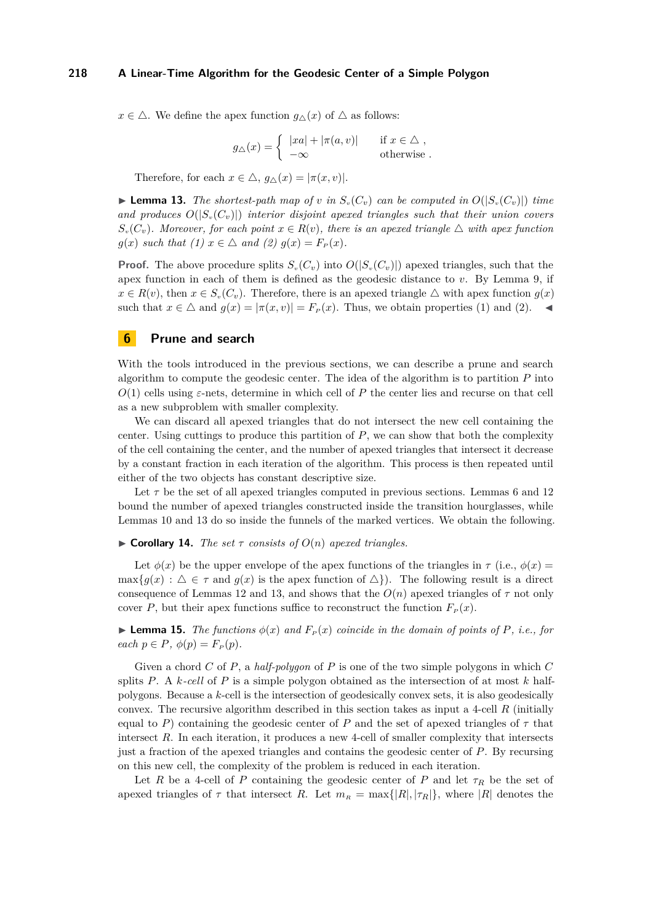$x \in \Delta$ . We define the apex function  $g_{\wedge}(x)$  of  $\Delta$  as follows:

$$
g_{\triangle}(x) = \begin{cases} |xa| + |\pi(a, v)| & \text{if } x \in \triangle , \\ -\infty & \text{otherwise} . \end{cases}
$$

Therefore, for each  $x \in \Delta$ ,  $g_{\Delta}(x) = |\pi(x, v)|$ .

<span id="page-9-1"></span>**Example 13.** The shortest-path map of *v* in  $S_v(C_v)$  can be computed in  $O(|S_v(C_v)|)$  time and produces  $O(|S_v(C_v)|)$  interior disjoint apexed triangles such that their union covers  $S_v(C_v)$ *. Moreover, for each point*  $x \in R(v)$ *, there is an apexed triangle*  $\triangle$  *with apex function g*(*x*) *such that* (1)  $x \in \Delta$  *and* (2)  $g(x) = F_P(x)$ *.* 

**Proof.** The above procedure splits  $S_v(C_v)$  into  $O(|S_v(C_v)|)$  apexed triangles, such that the apex function in each of them is defined as the geodesic distance to *v*. By Lemma [9,](#page-6-2) if  $x \in R(v)$ , then  $x \in S_v(C_v)$ . Therefore, there is an apexed triangle  $\triangle$  with apex function  $g(x)$ such that  $x \in \Delta$  and  $g(x) = |\pi(x, v)| = F_P(x)$ . Thus, we obtain properties (1) and (2).

# <span id="page-9-0"></span>**6 Prune and search**

With the tools introduced in the previous sections, we can describe a prune and search algorithm to compute the geodesic center. The idea of the algorithm is to partition *P* into  $O(1)$  cells using  $\varepsilon$ -nets, determine in which cell of  $P$  the center lies and recurse on that cell as a new subproblem with smaller complexity.

We can discard all apexed triangles that do not intersect the new cell containing the center. Using cuttings to produce this partition of *P*, we can show that both the complexity of the cell containing the center, and the number of apexed triangles that intersect it decrease by a constant fraction in each iteration of the algorithm. This process is then repeated until either of the two objects has constant descriptive size.

Let  $\tau$  be the set of all apexed triangles computed in previous sections. Lemmas [6](#page-4-4) and [12](#page-8-0) bound the number of apexed triangles constructed inside the transition hourglasses, while Lemmas [10](#page-6-3) and [13](#page-9-1) do so inside the funnels of the marked vertices. We obtain the following.

 $\triangleright$  **Corollary 14.** *The set*  $\tau$  *consists of*  $O(n)$  *apexed triangles.* 

Let  $\phi(x)$  be the upper envelope of the apex functions of the triangles in  $\tau$  (i.e.,  $\phi(x)$ )  $\max\{g(x): \Delta \in \tau \text{ and } g(x) \text{ is the apex function of } \Delta\}$ . The following result is a direct consequence of Lemmas [12](#page-8-0) and [13,](#page-9-1) and shows that the  $O(n)$  apexed triangles of  $\tau$  not only cover *P*, but their apex functions suffice to reconstruct the function  $F_p(x)$ .

<span id="page-9-2"></span>**Lemma 15.** *The functions*  $\phi(x)$  *and*  $F_P(x)$  *coincide in the domain of points of P, i.e., for*  $\operatorname{each} p \in P$ ,  $\phi(p) = F_P(p)$ .

Given a chord *C* of *P*, a *half-polygon* of *P* is one of the two simple polygons in which *C* splits *P*. A *k-cell* of *P* is a simple polygon obtained as the intersection of at most *k* halfpolygons. Because a *k*-cell is the intersection of geodesically convex sets, it is also geodesically convex. The recursive algorithm described in this section takes as input a 4-cell *R* (initially equal to *P*) containing the geodesic center of *P* and the set of apexed triangles of  $\tau$  that intersect R. In each iteration, it produces a new 4-cell of smaller complexity that intersects just a fraction of the apexed triangles and contains the geodesic center of *P*. By recursing on this new cell, the complexity of the problem is reduced in each iteration.

Let *R* be a 4-cell of *P* containing the geodesic center of *P* and let  $\tau_R$  be the set of apexed triangles of  $\tau$  that intersect *R*. Let  $m_R = \max\{|R|, |\tau_R|\}$ , where  $|R|$  denotes the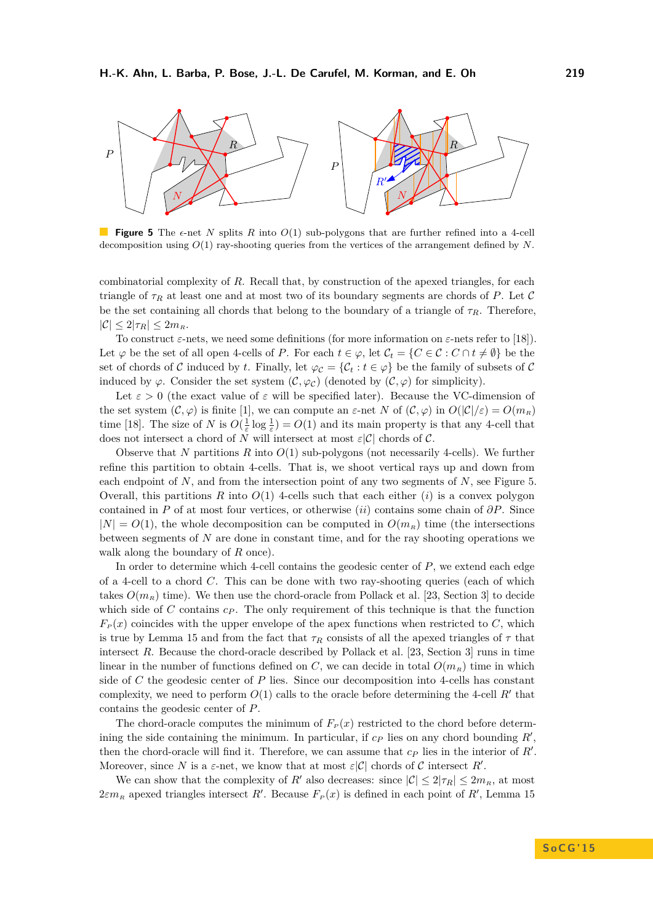<span id="page-10-0"></span>

**Figure 5** The  $\epsilon$ -net *N* splits *R* into  $O(1)$  sub-polygons that are further refined into a 4-cell decomposition using *O*(1) ray-shooting queries from the vertices of the arrangement defined by *N*.

combinatorial complexity of *R*. Recall that, by construction of the apexed triangles, for each triangle of  $\tau_R$  at least one and at most two of its boundary segments are chords of *P*. Let C be the set containing all chords that belong to the boundary of a triangle of  $\tau_R$ . Therefore,  $|\mathcal{C}| \leq 2|\tau_R| \leq 2m_R$ .

To construct  $\varepsilon$ -nets, we need some definitions (for more information on  $\varepsilon$ -nets refer to [\[18\]](#page-14-22)). Let  $\varphi$  be the set of all open 4-cells of *P*. For each  $t \in \varphi$ , let  $\mathcal{C}_t = \{C \in \mathcal{C} : C \cap t \neq \emptyset\}$  be the set of chords of C induced by t. Finally, let  $\varphi_c = \{C_t : t \in \varphi\}$  be the family of subsets of C induced by  $\varphi$ . Consider the set system  $(C, \varphi_C)$  (denoted by  $(C, \varphi)$  for simplicity).

Let  $\varepsilon > 0$  (the exact value of  $\varepsilon$  will be specified later). Because the VC-dimension of the set system  $(C, \varphi)$  is finite [\[1\]](#page-13-0), we can compute an  $\varepsilon$ -net *N* of  $(C, \varphi)$  in  $O(|\mathcal{C}|/\varepsilon) = O(m_R)$ time [\[18\]](#page-14-22). The size of *N* is  $O(\frac{1}{\varepsilon} \log \frac{1}{\varepsilon}) = O(1)$  and its main property is that any 4-cell that does not intersect a chord of *N* will intersect at most  $\varepsilon|\mathcal{C}|$  chords of  $\mathcal{C}$ .

Observe that *N* partitions *R* into *O*(1) sub-polygons (not necessarily 4-cells). We further refine this partition to obtain 4-cells. That is, we shoot vertical rays up and down from each endpoint of *N*, and from the intersection point of any two segments of *N*, see Figure [5.](#page-10-0) Overall, this partitions  $R$  into  $O(1)$  4-cells such that each either  $(i)$  is a convex polygon contained in *P* of at most four vertices, or otherwise (*ii*) contains some chain of *∂P*. Since  $|N| = O(1)$ , the whole decomposition can be computed in  $O(m_R)$  time (the intersections between segments of *N* are done in constant time, and for the ray shooting operations we walk along the boundary of *R* once).

In order to determine which 4-cell contains the geodesic center of *P*, we extend each edge of a 4-cell to a chord *C*. This can be done with two ray-shooting queries (each of which takes  $O(m_R)$  time). We then use the chord-oracle from Pollack et al. [\[23,](#page-14-8) Section 3] to decide which side of *C* contains  $c_p$ . The only requirement of this technique is that the function  $F<sub>P</sub>(x)$  coincides with the upper envelope of the apex functions when restricted to *C*, which is true by Lemma [15](#page-9-2) and from the fact that  $\tau_R$  consists of all the apexed triangles of  $\tau$  that intersect *R*. Because the chord-oracle described by Pollack et al. [\[23,](#page-14-8) Section 3] runs in time linear in the number of functions defined on *C*, we can decide in total  $O(m_R)$  time in which side of *C* the geodesic center of *P* lies. Since our decomposition into 4-cells has constant complexity, we need to perform  $O(1)$  calls to the oracle before determining the 4-cell  $R'$  that contains the geodesic center of *P*.

The chord-oracle computes the minimum of  $F<sub>P</sub>(x)$  restricted to the chord before determining the side containing the minimum. In particular, if  $c<sub>P</sub>$  lies on any chord bounding  $R'$ , then the chord-oracle will find it. Therefore, we can assume that  $c_P$  lies in the interior of  $R'$ . Moreover, since *N* is a  $\varepsilon$ -net, we know that at most  $\varepsilon|\mathcal{C}|$  chords of C intersect R'.

We can show that the complexity of *R'* also decreases: since  $|\mathcal{C}| \leq 2|\tau_R| \leq 2m_R$ , at most  $2\varepsilon m_R$  apexed triangles intersect *R'*. Because  $F_P(x)$  is defined in each point of *R'*, Lemma [15](#page-9-2)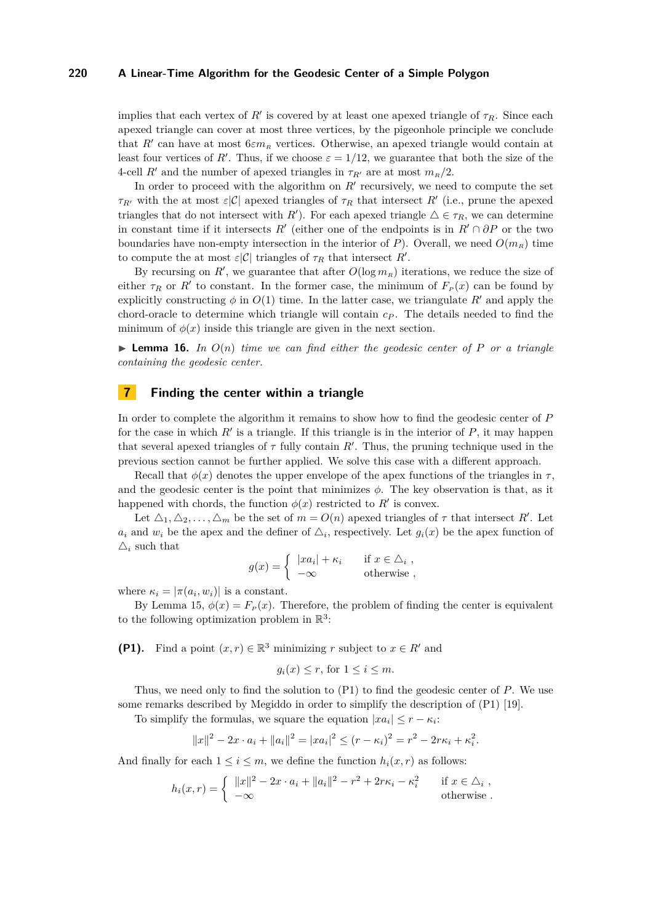implies that each vertex of  $R'$  is covered by at least one apexed triangle of  $\tau_R$ . Since each apexed triangle can cover at most three vertices, by the pigeonhole principle we conclude that  $R'$  can have at most  $6\varepsilon m_R$  vertices. Otherwise, an apexed triangle would contain at least four vertices of *R'*. Thus, if we choose  $\varepsilon = 1/12$ , we guarantee that both the size of the 4-cell *R'* and the number of apexed triangles in  $\tau_{R'}$  are at most  $m_R/2$ .

In order to proceed with the algorithm on  $R'$  recursively, we need to compute the set *τR*<sup> $\tau$ </sup> with the at most *ε*|C| apexed triangles of  $\tau$ <sup>*R*</sup> that intersect *R*<sup> $\prime$ </sup> (i.e., prune the apexed triangles that do not intersect with *R*<sup>'</sup>). For each apexed triangle  $\Delta \in \tau_R$ , we can determine in constant time if it intersects  $R'$  (either one of the endpoints is in  $R' \cap \partial P$  or the two boundaries have non-empty intersection in the interior of *P*). Overall, we need  $O(m_R)$  time to compute the at most  $\varepsilon|\mathcal{C}|$  triangles of  $\tau_R$  that intersect  $R'$ .

By recursing on  $R'$ , we guarantee that after  $O(\log m_R)$  iterations, we reduce the size of either  $\tau_R$  or  $R'$  to constant. In the former case, the minimum of  $F_P(x)$  can be found by explicitly constructing  $\phi$  in  $O(1)$  time. In the latter case, we triangulate *R'* and apply the chord-oracle to determine which triangle will contain *c<sup>P</sup>* . The details needed to find the minimum of  $\phi(x)$  inside this triangle are given in the next section.

**I Lemma 16.** In  $O(n)$  time we can find either the geodesic center of P or a triangle *containing the geodesic center.*

# <span id="page-11-0"></span>**7 Finding the center within a triangle**

In order to complete the algorithm it remains to show how to find the geodesic center of *P* for the case in which  $R'$  is a triangle. If this triangle is in the interior of  $P$ , it may happen that several apexed triangles of  $\tau$  fully contain  $R'$ . Thus, the pruning technique used in the previous section cannot be further applied. We solve this case with a different approach.

Recall that  $\phi(x)$  denotes the upper envelope of the apex functions of the triangles in  $\tau$ , and the geodesic center is the point that minimizes  $\phi$ . The key observation is that, as it happened with chords, the function  $\phi(x)$  restricted to  $R'$  is convex.

Let  $\Delta_1, \Delta_2, \ldots, \Delta_m$  be the set of  $m = O(n)$  apexed triangles of  $\tau$  that intersect  $R'$ . Let  $a_i$  and  $w_i$  be the apex and the definer of  $\Delta_i$ , respectively. Let  $g_i(x)$  be the apex function of  $\Delta_i$  such that

$$
g(x) = \begin{cases} |xa_i| + \kappa_i & \text{if } x \in \triangle_i, \\ -\infty & \text{otherwise} \end{cases}
$$

where  $\kappa_i = |\pi(a_i, w_i)|$  is a constant.

By Lemma [15,](#page-9-2)  $\phi(x) = F_p(x)$ . Therefore, the problem of finding the center is equivalent to the following optimization problem in  $\mathbb{R}^3$ :

**(P1).** Find a point  $(x, r) \in \mathbb{R}^3$  minimizing *r* subject to  $x \in R'$  and

$$
g_i(x) \leq r
$$
, for  $1 \leq i \leq m$ .

Thus, we need only to find the solution to (P1) to find the geodesic center of *P*. We use some remarks described by Megiddo in order to simplify the description of (P1) [\[19\]](#page-14-23).

To simplify the formulas, we square the equation  $|x a_i| \leq r - \kappa_i$ :

$$
||x||^2 - 2x \cdot a_i + ||a_i||^2 = |xa_i|^2 \le (r - \kappa_i)^2 = r^2 - 2r\kappa_i + \kappa_i^2.
$$

And finally for each  $1 \leq i \leq m$ , we define the function  $h_i(x, r)$  as follows:

$$
h_i(x,r) = \begin{cases} ||x||^2 - 2x \cdot a_i + ||a_i||^2 - r^2 + 2r\kappa_i - \kappa_i^2 & \text{if } x \in \Delta_i, \\ -\infty & \text{otherwise.} \end{cases}
$$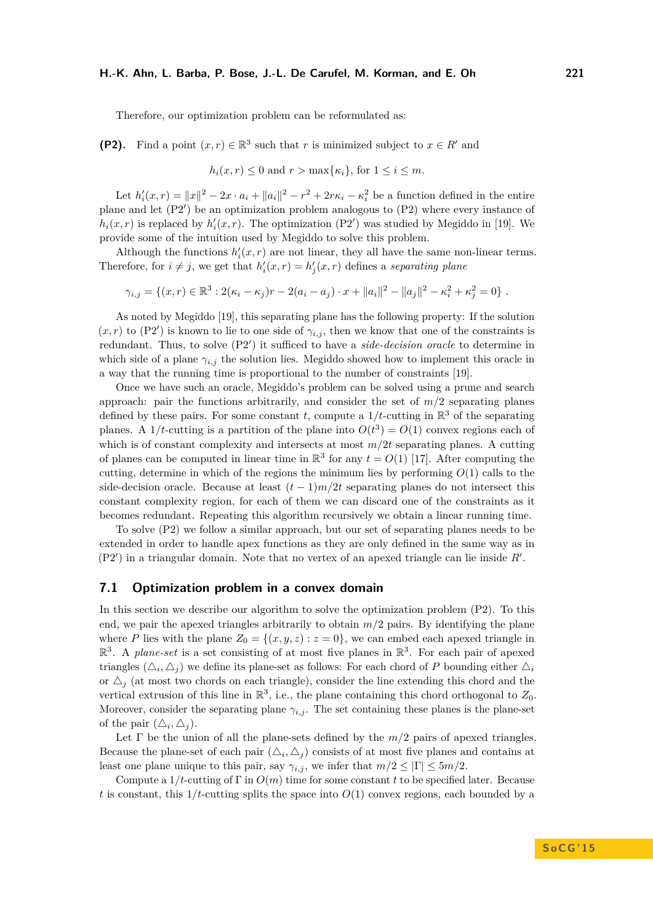## **H.-K. Ahn, L. Barba, P. Bose, J.-L. De Carufel, M. Korman, and E. Oh 221**

Therefore, our optimization problem can be reformulated as:

**(P2).** Find a point  $(x, r) \in \mathbb{R}^3$  such that *r* is minimized subject to  $x \in R'$  and

$$
h_i(x,r) \leq 0
$$
 and  $r > \max{\kappa_i}$ , for  $1 \leq i \leq m$ .

Let  $h'_i(x,r) = ||x||^2 - 2x \cdot a_i + ||a_i||^2 - r^2 + 2r\kappa_i - \kappa_i^2$  be a function defined in the entire plane and let  $(P2')$  be an optimization problem analogous to  $(P2)$  where every instance of  $h_i(x, r)$  is replaced by  $h'_i(x, r)$ . The optimization (P2') was studied by Megiddo in [\[19\]](#page-14-23). We provide some of the intuition used by Megiddo to solve this problem.

Although the functions  $h_i'(x, r)$  are not linear, they all have the same non-linear terms. Therefore, for  $i \neq j$ , we get that  $h'_i(x,r) = h'_j(x,r)$  defines a *separating plane* 

$$
\gamma_{i,j} = \{(x,r) \in \mathbb{R}^3 : 2(\kappa_i - \kappa_j)r - 2(a_i - a_j) \cdot x + ||a_i||^2 - ||a_j||^2 - \kappa_i^2 + \kappa_j^2 = 0\}.
$$

As noted by Megiddo [\[19\]](#page-14-23), this separating plane has the following property: If the solution  $(x, r)$  to  $(P2')$  is known to lie to one side of  $\gamma_{i,j}$ , then we know that one of the constraints is redundant. Thus, to solve (P2') it sufficed to have a *side-decision oracle* to determine in which side of a plane  $\gamma_{i,j}$  the solution lies. Megiddo showed how to implement this oracle in a way that the running time is proportional to the number of constraints [\[19\]](#page-14-23).

Once we have such an oracle, Megiddo's problem can be solved using a prune and search approach: pair the functions arbitrarily, and consider the set of  $m/2$  separating planes defined by these pairs. For some constant *t*, compute a  $1/t$ -cutting in  $\mathbb{R}^3$  of the separating planes. A 1/*t*-cutting is a partition of the plane into  $O(t^3) = O(1)$  convex regions each of which is of constant complexity and intersects at most *m/*2*t* separating planes. A cutting of planes can be computed in linear time in  $\mathbb{R}^3$  for any  $t = O(1)$  [\[17\]](#page-14-24). After computing the cutting, determine in which of the regions the minimum lies by performing *O*(1) calls to the side-decision oracle. Because at least  $(t-1)m/2t$  separating planes do not intersect this constant complexity region, for each of them we can discard one of the constraints as it becomes redundant. Repeating this algorithm recursively we obtain a linear running time.

To solve (P2) we follow a similar approach, but our set of separating planes needs to be extended in order to handle apex functions as they are only defined in the same way as in  $(P2')$  in a triangular domain. Note that no vertex of an apexed triangle can lie inside  $R'$ .

# **7.1 Optimization problem in a convex domain**

In this section we describe our algorithm to solve the optimization problem (P2). To this end, we pair the apexed triangles arbitrarily to obtain  $m/2$  pairs. By identifying the plane where *P* lies with the plane  $Z_0 = \{(x, y, z) : z = 0\}$ , we can embed each apexed triangle in  $\mathbb{R}^3$ . A *plane-set* is a set consisting of at most five planes in  $\mathbb{R}^3$ . For each pair of apexed triangles  $(\triangle_i, \triangle_j)$  we define its plane-set as follows: For each chord of *P* bounding either  $\triangle_i$ or  $\Delta_i$  (at most two chords on each triangle), consider the line extending this chord and the vertical extrusion of this line in  $\mathbb{R}^3$ , i.e., the plane containing this chord orthogonal to  $Z_0$ . Moreover, consider the separating plane  $\gamma_{i,j}$ . The set containing these planes is the plane-set of the pair  $(\triangle_i, \triangle_j)$ .

Let  $\Gamma$  be the union of all the plane-sets defined by the  $m/2$  pairs of apexed triangles. Because the plane-set of each pair  $(\triangle_i, \triangle_j)$  consists of at most five planes and contains at least one plane unique to this pair, say  $\gamma_{i,j}$ , we infer that  $m/2 \leq |\Gamma| \leq 5m/2$ .

Compute a 1*/t*-cutting of Γ in *O*(*m*) time for some constant *t* to be specified later. Because *t* is constant, this  $1/t$ -cutting splits the space into  $O(1)$  convex regions, each bounded by a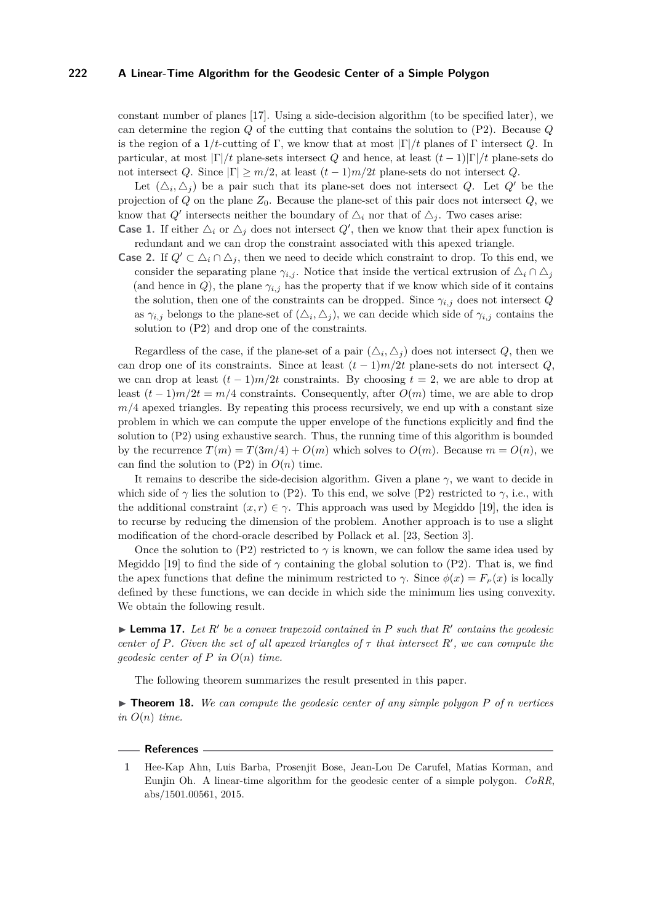constant number of planes [\[17\]](#page-14-24). Using a side-decision algorithm (to be specified later), we can determine the region *Q* of the cutting that contains the solution to (P2). Because *Q* is the region of a  $1/t$ -cutting of Γ, we know that at most  $|\Gamma|/t$  planes of Γ intersect *Q*. In particular, at most |Γ|*/t* plane-sets intersect *Q* and hence, at least (*t* − 1)|Γ|*/t* plane-sets do not intersect *Q*. Since  $|\Gamma| \geq m/2$ , at least  $(t-1)m/2t$  plane-sets do not intersect *Q*.

Let  $(\triangle_i, \triangle_j)$  be a pair such that its plane-set does not intersect *Q*. Let *Q'* be the projection of *Q* on the plane *Z*0. Because the plane-set of this pair does not intersect *Q*, we know that  $Q'$  intersects neither the boundary of  $\Delta_i$  nor that of  $\Delta_j$ . Two cases arise:

**Case 1.** If either  $\Delta_i$  or  $\Delta_j$  does not intersect  $Q'$ , then we know that their apex function is redundant and we can drop the constraint associated with this apexed triangle.

**Case 2.** If  $Q' \subset \Delta_i \cap \Delta_j$ , then we need to decide which constraint to drop. To this end, we consider the separating plane  $\gamma_{i,j}$ . Notice that inside the vertical extrusion of  $\Delta_i \cap \Delta_j$ (and hence in *Q*), the plane  $\gamma_{i,j}$  has the property that if we know which side of it contains the solution, then one of the constraints can be dropped. Since  $\gamma_{i,j}$  does not intersect *Q* as  $\gamma_{i,j}$  belongs to the plane-set of  $(\Delta_i, \Delta_j)$ , we can decide which side of  $\gamma_{i,j}$  contains the solution to (P2) and drop one of the constraints.

Regardless of the case, if the plane-set of a pair  $(\triangle_i, \triangle_j)$  does not intersect *Q*, then we can drop one of its constraints. Since at least  $(t-1)m/2t$  plane-sets do not intersect *Q*, we can drop at least  $(t-1)m/2t$  constraints. By choosing  $t=2$ , we are able to drop at least  $(t-1)m/2t = m/4$  constraints. Consequently, after  $O(m)$  time, we are able to drop  $m/4$  apexed triangles. By repeating this process recursively, we end up with a constant size problem in which we can compute the upper envelope of the functions explicitly and find the solution to (P2) using exhaustive search. Thus, the running time of this algorithm is bounded by the recurrence  $T(m) = T(3m/4) + O(m)$  which solves to  $O(m)$ . Because  $m = O(n)$ , we can find the solution to  $(P2)$  in  $O(n)$  time.

It remains to describe the side-decision algorithm. Given a plane *γ*, we want to decide in which side of  $\gamma$  lies the solution to (P2). To this end, we solve (P2) restricted to  $\gamma$ , i.e., with the additional constraint  $(x, r) \in \gamma$ . This approach was used by Megiddo [\[19\]](#page-14-23), the idea is to recurse by reducing the dimension of the problem. Another approach is to use a slight modification of the chord-oracle described by Pollack et al. [\[23,](#page-14-8) Section 3].

Once the solution to (P2) restricted to  $\gamma$  is known, we can follow the same idea used by Megiddo [\[19\]](#page-14-23) to find the side of  $\gamma$  containing the global solution to (P2). That is, we find the apex functions that define the minimum restricted to *γ*. Since  $\phi(x) = F_p(x)$  is locally defined by these functions, we can decide in which side the minimum lies using convexity. We obtain the following result.

 $\blacktriangleright$  **Lemma 17.** Let  $R'$  be a convex trapezoid contained in  $P$  such that  $R'$  contains the geodesic *center of P. Given the set of all apexed triangles of*  $\tau$  *that intersect*  $R'$ *, we can compute the geodesic center of P in O*(*n*) *time.*

The following theorem summarizes the result presented in this paper.

 $\triangleright$  **Theorem 18.** We can compute the geodesic center of any simple polygon P of *n* vertices  $in O(n)$  *time.* 

#### **References**

<span id="page-13-0"></span>**<sup>1</sup>** Hee-Kap Ahn, Luis Barba, Prosenjit Bose, Jean-Lou De Carufel, Matias Korman, and Eunjin Oh. A linear-time algorithm for the geodesic center of a simple polygon. *CoRR*, abs/1501.00561, 2015.